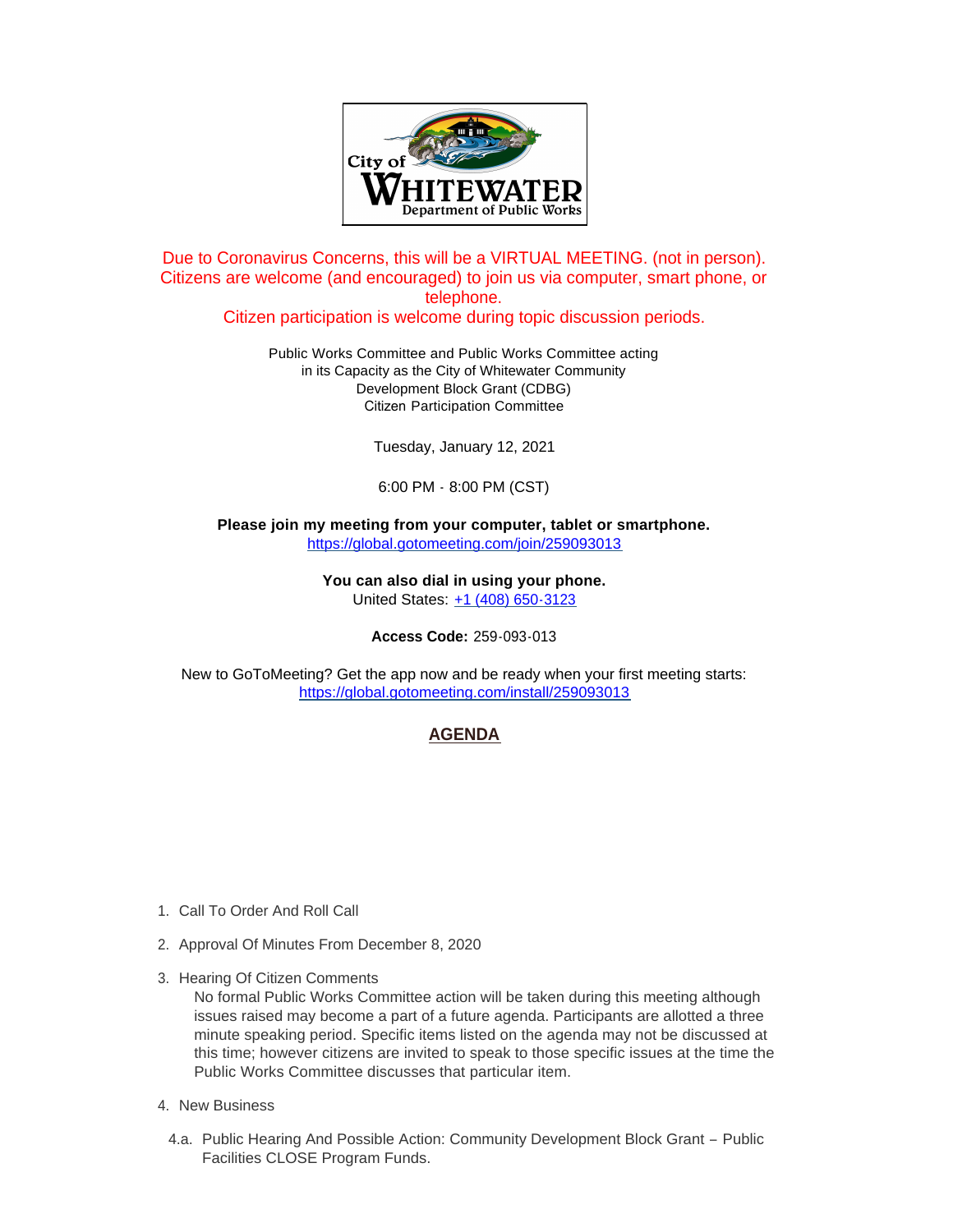

Due to Coronavirus Concerns, this will be a VIRTUAL MEETING. (not in person). Citizens are welcome (and encouraged) to join us via computer, smart phone, or telephone.

Citizen participation is welcome during topic discussion periods.

Public Works Committee and Public Works Committee acting in its Capacity as the City of Whitewater Community Development Block Grant (CDBG) Citizen Participation Committee

Tuesday, January 12, 2021

6:00 PM - 8:00 PM (CST)

**Please join my meeting from your computer, tablet or smartphone.**  <https://global.gotomeeting.com/join/259093013>

> **You can also dial in using your phone.** United States: [+1 \(408\) 650-3123](tel:+14086503123,,259093013)

> > **Access Code:** 259-093-013

[New to GoToMeeting? Get the app now and be ready when your fir](https://global.gotomeeting.com/install/259093013)st meeting starts: https://global.gotomeeting.com/install/259093013

# **AGENDA**

- 1. Call To Order And Roll Call
- 2. Approval Of Minutes From December 8, 2020
- 3. Hearing Of Citizen Comments

No formal Public Works Committee action will be taken during this meeting although issues raised may become a part of a future agenda. Participants are allotted a three minute speaking period. Specific items listed on the agenda may not be discussed at this time; however citizens are invited to speak to those specific issues at the time the Public Works Committee discusses that particular item.

- 4. New Business
- 4.a. Public Hearing And Possible Action: Community Development Block Grant Public Facilities CLOSE Program Funds.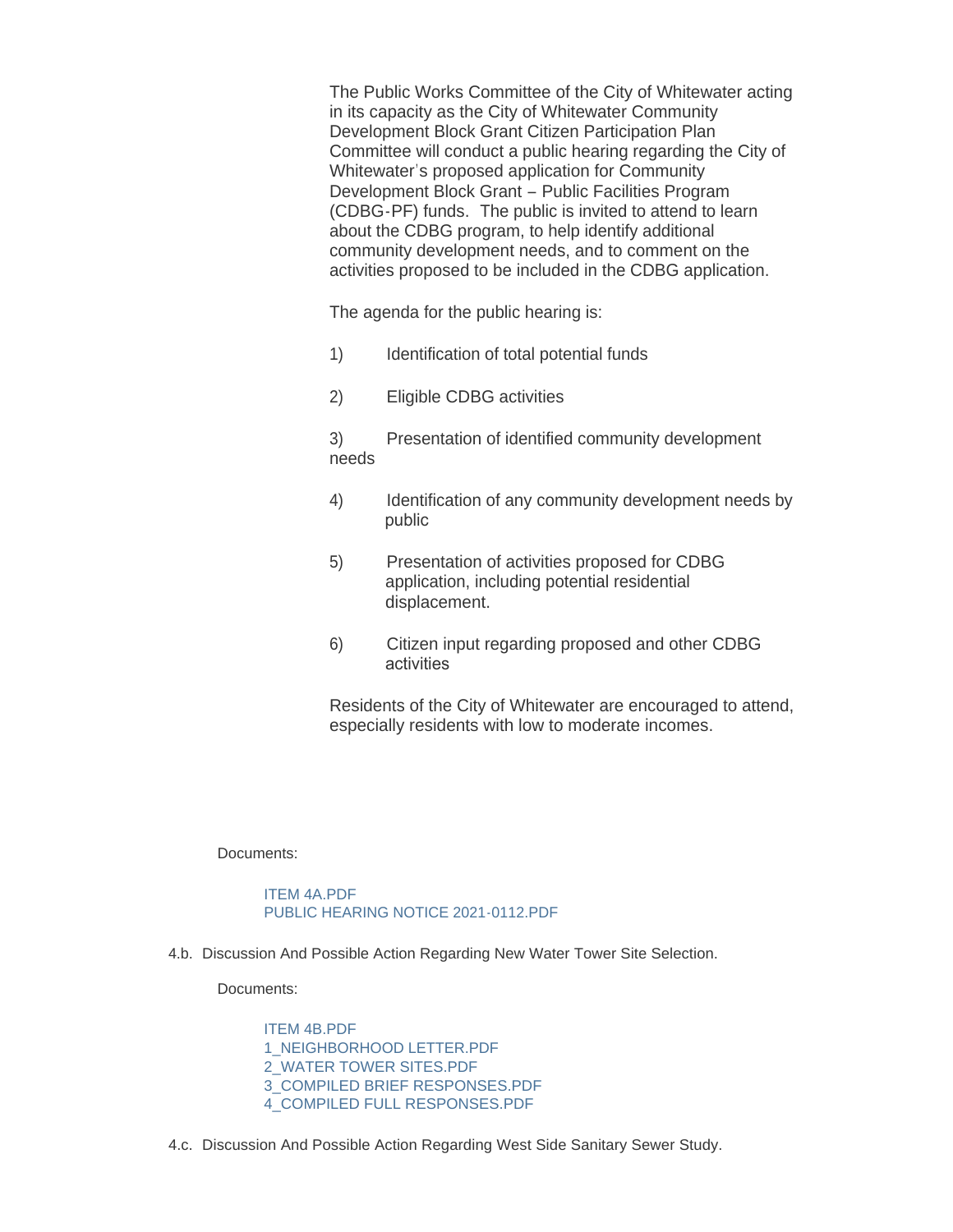The Public Works Committee of the City of Whitewater acting in its capacity as the City of Whitewater Community Development Block Grant Citizen Participation Plan Committee will conduct a public hearing regarding the City of Whitewater's proposed application for Community Development Block Grant – Public Facilities Program (CDBG-PF) funds. The public is invited to attend to learn about the CDBG program, to help identify additional community development needs, and to comment on the activities proposed to be included in the CDBG application.

The agenda for the public hearing is:

- 1) Identification of total potential funds
- 2) Eligible CDBG activities

3) Presentation of identified community development needs

- 4) Identification of any community development needs by public
- 5) Presentation of activities proposed for CDBG application, including potential residential displacement.
- 6) Citizen input regarding proposed and other CDBG activities

Residents of the City of Whitewater are encouraged to attend, especially residents with low to moderate incomes.

Documents:

## [ITEM 4A.PDF](https://www.whitewater-wi.gov/AgendaCenter/ViewFile/Item/3521?fileID=5149) [PUBLIC HEARING NOTICE 2021-0112.PDF](https://www.whitewater-wi.gov/AgendaCenter/ViewFile/Item/3521?fileID=5150)

4.b. Discussion And Possible Action Regarding New Water Tower Site Selection.

Documents:

[ITEM 4B.PDF](https://www.whitewater-wi.gov/AgendaCenter/ViewFile/Item/3522?fileID=5151) [1\\_NEIGHBORHOOD LETTER.PDF](https://www.whitewater-wi.gov/AgendaCenter/ViewFile/Item/3522?fileID=5152) [2\\_WATER TOWER SITES.PDF](https://www.whitewater-wi.gov/AgendaCenter/ViewFile/Item/3522?fileID=5153) [3\\_COMPILED BRIEF RESPONSES.PDF](https://www.whitewater-wi.gov/AgendaCenter/ViewFile/Item/3522?fileID=5154) [4\\_COMPILED FULL RESPONSES.PDF](https://www.whitewater-wi.gov/AgendaCenter/ViewFile/Item/3522?fileID=5155)

4.c. Discussion And Possible Action Regarding West Side Sanitary Sewer Study.